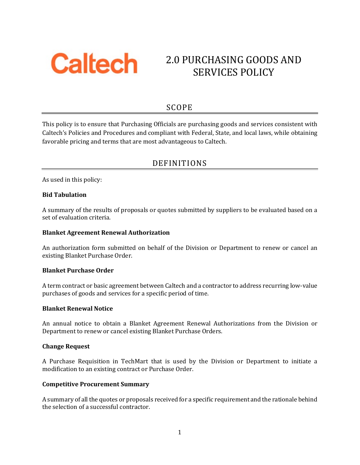

# 2.0 PURCHASING GOODS AND SERVICES POLICY

## SCOPE

This policy is to ensure that Purchasing Officials are purchasing goods and services consistent with Caltech's Policies and Procedures and compliant with Federal, State, and local laws, while obtaining favorable pricing and terms that are most advantageous to Caltech.

## DEFINITIONS

As used in this policy:

## **Bid Tabulation**

A summary of the results of proposals or quotes submitted by suppliers to be evaluated based on a set of evaluation criteria.

## **Blanket Agreement Renewal Authorization**

An authorization form submitted on behalf of the Division or Department to renew or cancel an existing Blanket Purchase Order.

#### **Blanket Purchase Order**

A term contract or basic agreement between Caltech and a contractor to address recurring low-value purchases of goods and services for a specific period of time.

#### **Blanket Renewal Notice**

An annual notice to obtain a Blanket Agreement Renewal Authorizations from the Division or Department to renew or cancel existing Blanket Purchase Orders.

#### **Change Request**

A Purchase Requisition in TechMart that is used by the Division or Department to initiate a modification to an existing contract or Purchase Order.

#### **Competitive Procurement Summary**

A summary of all the quotes or proposals received for a specific requirement and the rationale behind the selection of a successful contractor.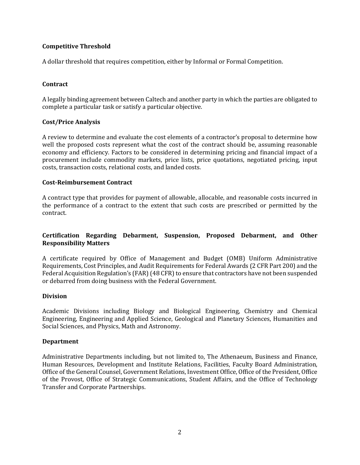## **Competitive Threshold**

A dollar threshold that requires competition, either by Informal or Formal Competition.

## **Contract**

A legally binding agreement between Caltech and another party in which the parties are obligated to complete a particular task or satisfy a particular objective.

#### **Cost/Price Analysis**

A review to determine and evaluate the cost elements of a contractor's proposal to determine how well the proposed costs represent what the cost of the contract should be, assuming reasonable economy and efficiency. Factors to be considered in determining pricing and financial impact of a procurement include commodity markets, price lists, price quotations, negotiated pricing, input costs, transaction costs, relational costs, and landed costs.

#### **Cost-Reimbursement Contract**

A contract type that provides for payment of allowable, allocable, and reasonable costs incurred in the performance of a contract to the extent that such costs are prescribed or permitted by the contract.

## **Certification Regarding Debarment, Suspension, Proposed Debarment, and Other Responsibility Matters**

A certificate required by Office of Management and Budget (OMB) Uniform Administrative Requirements, Cost Principles, and Audit Requirements for Federal Awards (2 CFR Part 200) and the Federal Acquisition Regulation's (FAR) (48 CFR) to ensure that contractors have not been suspended or debarred from doing business with the Federal Government.

#### **Division**

Academic Divisions including Biology and Biological Engineering, Chemistry and Chemical Engineering, Engineering and Applied Science, Geological and Planetary Sciences, Humanities and Social Sciences, and Physics, Math and Astronomy.

#### **Department**

Administrative Departments including, but not limited to, The Athenaeum, Business and Finance, Human Resources, Development and Institute Relations, Facilities, Faculty Board Administration, Office of the General Counsel, Government Relations, Investment Office, Office of the President, Office of the Provost, Office of Strategic Communications, Student Affairs, and the Office of Technology Transfer and Corporate Partnerships.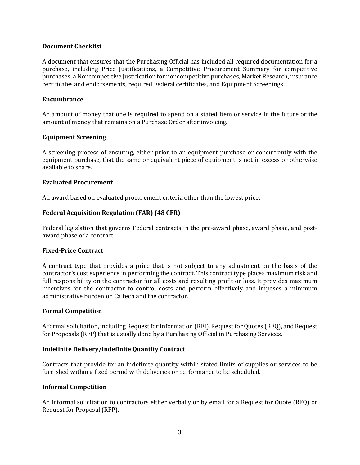#### **Document Checklist**

A document that ensures that the Purchasing Official has included all required documentation for a purchase, including Price Justifications, a Competitive Procurement Summary for competitive purchases, a Noncompetitive Justification for noncompetitive purchases, Market Research, insurance certificates and endorsements, required Federal certificates, and Equipment Screenings.

#### **Encumbrance**

An amount of money that one is required to spend on a stated item or service in the future or the amount of money that remains on a Purchase Order after invoicing.

#### **Equipment Screening**

A screening process of ensuring, either prior to an equipment purchase or concurrently with the equipment purchase, that the same or equivalent piece of equipment is not in excess or otherwise available to share.

#### **Evaluated Procurement**

An award based on evaluated procurement criteria other than the lowest price.

#### **Federal Acquisition Regulation (FAR) (48 CFR)**

Federal legislation that governs Federal contracts in the pre-award phase, award phase, and postaward phase of a contract.

#### **Fixed-Price Contract**

A contract type that provides a price that is not subject to any adjustment on the basis of the contractor's cost experience in performing the contract. This contract type places maximum risk and full responsibility on the contractor for all costs and resulting profit or loss. It provides maximum incentives for the contractor to control costs and perform effectively and imposes a minimum administrative burden on Caltech and the contractor.

#### **Formal Competition**

A formal solicitation, including Request for Information (RFI), Request for Quotes (RFQ), and Request for Proposals (RFP) that is usually done by a Purchasing Official in Purchasing Services.

#### **Indefinite Delivery/Indefinite Quantity Contract**

Contracts that provide for an indefinite quantity within stated limits of supplies or services to be furnished within a fixed period with deliveries or performance to be scheduled.

#### **Informal Competition**

An informal solicitation to contractors either verbally or by email for a Request for Quote (RFQ) or Request for Proposal (RFP).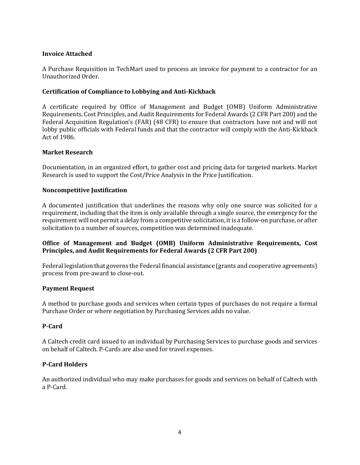## **Invoice Attached**

A Purchase Requisition in TechMart used to process an invoice for payment to a contractor for an Unauthorized Order.

## **Certification of Compliance to Lobbying and Anti-Kickback**

A certificate required by Office of Management and Budget (OMB) Uniform Administrative Requirements, Cost Principles, and Audit Requirements for Federal Awards (2 CFR Part 200) and the Federal Acquisition Regulation's (FAR) (48 CFR) to ensure that contractors have not and will not lobby public officials with Federal funds and that the contractor will comply with the Anti-Kickback Act of 1986.

## **Market Research**

Documentation, in an organized effort, to gather cost and pricing data for targeted markets. Market Research is used to support the Cost/Price Analysis in the Price Justification.

## **Noncompetitive Justification**

A documented justification that underlines the reasons why only one source was solicited for a requirement, including that the item is only available through a single source, the emergency for the requirement will not permit a delay from a competitive solicitation, it is a follow-on purchase, or after solicitation to a number of sources, competition was determined inadequate.

## **Office of Management and Budget (OMB) Uniform Administrative Requirements, Cost Principles, and Audit Requirements for Federal Awards (2 CFR Part 200)**

Federal legislation that governs the Federal financial assistance (grants and cooperative agreements) process from pre-award to close-out.

#### **Payment Request**

A method to purchase goods and services when certain types of purchases do not require a formal Purchase Order or where negotiation by Purchasing Services adds no value.

## **P-Card**

A Caltech credit card issued to an individual by Purchasing Services to purchase goods and services on behalf of Caltech. P-Cards are also used for travel expenses.

#### **P-Card Holders**

An authorized individual who may make purchases for goods and services on behalf of Caltech with a P-Card.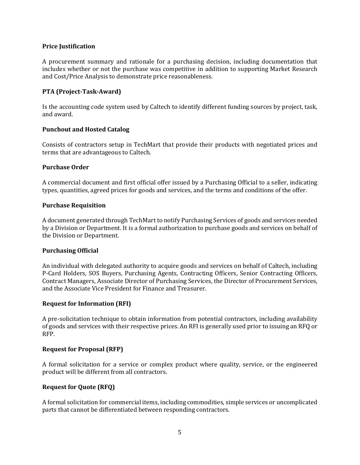#### **Price Justification**

A procurement summary and rationale for a purchasing decision, including documentation that includes whether or not the purchase was competitive in addition to supporting Market Research and Cost/Price Analysis to demonstrate price reasonableness.

## **PTA (Project-Task-Award)**

Is the accounting code system used by Caltech to identify different funding sources by project, task, and award.

## **Punchout and Hosted Catalog**

Consists of contractors setup in TechMart that provide their products with negotiated prices and terms that are advantageous to Caltech.

#### **Purchase Order**

A commercial document and first official offer issued by a Purchasing Official to a seller, indicating types, quantities, agreed prices for goods and services, and the terms and conditions of the offer.

#### **Purchase Requisition**

A document generated through TechMart to notify Purchasing Services of goods and services needed by a Division or Department. It is a formal authorization to purchase goods and services on behalf of the Division or Department.

#### **Purchasing Official**

An individual with delegated authority to acquire goods and services on behalf of Caltech, including P-Card Holders, SOS Buyers, Purchasing Agents, Contracting Officers, Senior Contracting Officers, Contract Managers, Associate Director of Purchasing Services, the Director of Procurement Services, and the Associate Vice President for Finance and Treasurer.

#### **Request for Information (RFI)**

A pre-solicitation technique to obtain information from potential contractors, including availability of goods and services with their respective prices. An RFI is generally used prior to issuing an RFQ or RFP.

#### **Request for Proposal (RFP)**

A formal solicitation for a service or complex product where quality, service, or the engineered product will be different from all contractors.

#### **Request for Quote (RFQ)**

A formal solicitation for commercial items, including commodities, simple services or uncomplicated parts that cannot be differentiated between responding contractors.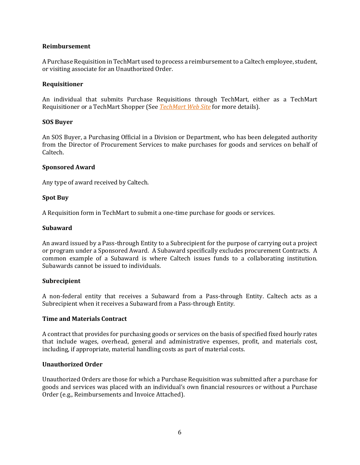#### **Reimbursement**

A Purchase Requisition in TechMart used to process a reimbursement to a Caltech employee, student, or visiting associate for an Unauthorized Order.

#### **Requisitioner**

An individual that submits Purchase Requisitions through TechMart, either as a TechMart Requisitioner or a TechMart Shopper (See *[TechMart Web Site](http://procurement.caltech.edu/departments/techmart)* for more details).

#### **SOS Buyer**

An SOS Buyer, a Purchasing Official in a Division or Department, who has been delegated authority from the Director of Procurement Services to make purchases for goods and services on behalf of Caltech.

#### **Sponsored Award**

Any type of award received by Caltech.

## **Spot Buy**

A Requisition form in TechMart to submit a one-time purchase for goods or services.

## **Subaward**

An award issued by a Pass-through Entity to a Subrecipient for the purpose of carrying out a project or program under a Sponsored Award. A Subaward specifically excludes procurement Contracts. A common example of a Subaward is where Caltech issues funds to a collaborating institution. Subawards cannot be issued to individuals.

#### **Subrecipient**

A non-federal entity that receives a Subaward from a Pass-through Entity. Caltech acts as a Subrecipient when it receives a Subaward from a Pass-through Entity.

#### **Time and Materials Contract**

A contract that provides for purchasing goods or services on the basis of specified fixed hourly rates that include wages, overhead, general and administrative expenses, profit, and materials cost, including, if appropriate, material handling costs as part of material costs.

#### **Unauthorized Order**

Unauthorized Orders are those for which a Purchase Requisition was submitted after a purchase for goods and services was placed with an individual's own financial resources or without a Purchase Order (e.g., Reimbursements and Invoice Attached).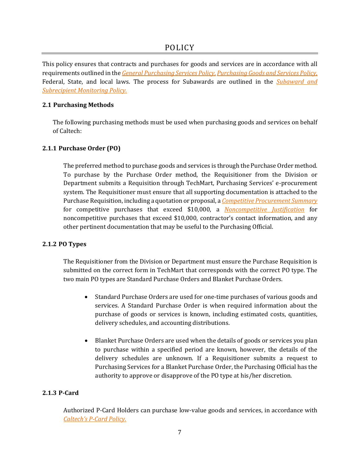This policy ensures that contracts and purchases for goods and services are in accordance with all requirements outlined in the *[General Purchasing Services Policy](http://procurement.sites.caltech.edu/departments/purchasing/purchasing-policies-procedures)*, *[Purchasing Goods and Services Policy](http://procurement.sites.caltech.edu/departments/purchasing/purchasing-policies-procedures)*, Federal, State, and local laws. The process for Subawards are outlined in the *[Subaward and](http://procurement.sites.caltech.edu/departments/purchasing/purchasing-policies-procedures)  [Subrecipient Monitoring Policy.](http://procurement.sites.caltech.edu/departments/purchasing/purchasing-policies-procedures)*

## **2.1 Purchasing Methods**

The following purchasing methods must be used when purchasing goods and services on behalf of Caltech:

## **2.1.1 Purchase Order (PO)**

The preferred method to purchase goods and services is through the Purchase Order method. To purchase by the Purchase Order method, the Requisitioner from the Division or Department submits a Requisition through TechMart, Purchasing Services' e-procurement system. The Requisitioner must ensure that all supporting documentation is attached to the Purchase Requisition, including a quotation or proposal, a *[Competitive Procurement Summary](http://procurement.sites.caltech.edu/departments/purchasing/purchasing-forms)*  for competitive purchases that exceed \$10,000, a *[Noncompetitive Justification](http://procurement.sites.caltech.edu/departments/purchasing/purchasing-forms)* for noncompetitive purchases that exceed \$10,000, contractor's contact information, and any other pertinent documentation that may be useful to the Purchasing Official.

## **2.1.2 PO Types**

The Requisitioner from the Division or Department must ensure the Purchase Requisition is submitted on the correct form in TechMart that corresponds with the correct PO type. The two main PO types are Standard Purchase Orders and Blanket Purchase Orders.

- Standard Purchase Orders are used for one-time purchases of various goods and services. A Standard Purchase Order is when required information about the purchase of goods or services is known, including estimated costs, quantities, delivery schedules, and accounting distributions.
- Blanket Purchase Orders are used when the details of goods or services you plan to purchase within a specified period are known, however, the details of the delivery schedules are unknown. If a Requisitioner submits a request to Purchasing Services for a Blanket Purchase Order, the Purchasing Official has the authority to approve or disapprove of the PO type at his/her discretion.

## **2.1.3 P-Card**

Authorized P-Card Holders can purchase low-value goods and services, in accordance with *[Caltech's P-Card Policy.](http://procurement.sites.caltech.edu/departments/policies-procedures)*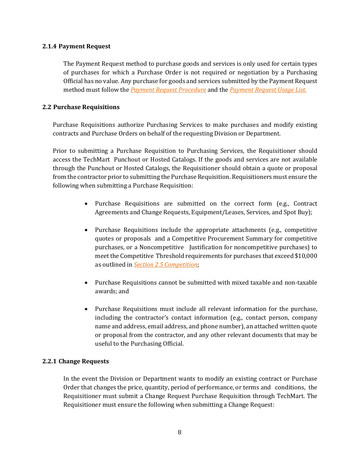#### **2.1.4 Payment Request**

The Payment Request method to purchase goods and services is only used for certain types of purchases for which a Purchase Order is not required or negotiation by a Purchasing Official has no value. Any purchase for goods and services submitted by the Payment Request method must follow the *[Payment Request Procedure](http://procurement.sites.caltech.edu/departments/payment/payment-policies-procedures)* and the *[Payment Request Usage List.](http://procurement.sites.caltech.edu/departments/payment/payment-forms)*

## <span id="page-7-0"></span>**2.2 Purchase Requisitions**

Purchase Requisitions authorize Purchasing Services to make purchases and modify existing contracts and Purchase Orders on behalf of the requesting Division or Department.

Prior to submitting a Purchase Requisition to Purchasing Services, the Requisitioner should access the TechMart Punchout or Hosted Catalogs. If the goods and services are not available through the Punchout or Hosted Catalogs, the Requisitioner should obtain a quote or proposal from the contractor prior to submitting the Purchase Requisition. Requisitioners must ensure the following when submitting a Purchase Requisition:

- Purchase Requisitions are submitted on the correct form (e.g., Contract Agreements and Change Requests, Equipment/Leases, Services, and Spot Buy);
- Purchase Requisitions include the appropriate attachments (e.g., competitive quotes or proposals and a Competitive Procurement Summary for competitive purchases, or a Noncompetitive Justification for noncompetitive purchases) to meet the Competitive Threshold requirements for purchases that exceed \$10,000 as outlined in *Section 2.5 [Competition](#page-10-0)*;
- Purchase Requisitions cannot be submitted with mixed taxable and non-taxable awards; and
- Purchase Requisitions must include all relevant information for the purchase, including the contractor's contact information (e.g., contact person, company name and address, email address, and phone number), an attached written quote or proposal from the contractor, and any other relevant documents that may be useful to the Purchasing Official.

## **2.2.1 Change Requests**

In the event the Division or Department wants to modify an existing contract or Purchase Order that changes the price, quantity, period of performance, or terms and conditions, the Requisitioner must submit a Change Request Purchase Requisition through TechMart. The Requisitioner must ensure the following when submitting a Change Request: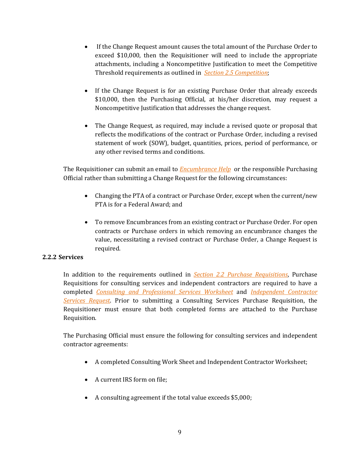- If the Change Request amount causes the total amount of the Purchase Order to exceed \$10,000, then the Requisitioner will need to include the appropriate attachments, including a Noncompetitive Justification to meet the Competitive Threshold requirements as outlined in *Section 2.5 [Competition](#page-10-0)*;
- If the Change Request is for an existing Purchase Order that already exceeds \$10,000, then the Purchasing Official, at his/her discretion, may request a Noncompetitive Justification that addresses the change request.
- The Change Request, as required, may include a revised quote or proposal that reflects the modifications of the contract or Purchase Order, including a revised statement of work (SOW), budget, quantities, prices, period of performance, or any other revised terms and conditions.

The Requisitioner can submit an email to *[Encumbrance Help](mailto:EncumbranceHelp@caltech.edu)* or the responsible Purchasing Official rather than submitting a Change Request for the following circumstances:

- Changing the PTA of a contract or Purchase Order, except when the current/new PTA is for a Federal Award; and
- To remove Encumbrances from an existing contract or Purchase Order. For open contracts or Purchase orders in which removing an encumbrance changes the value, necessitating a revised contract or Purchase Order, a Change Request is required.

## **2.2.2 Services**

In addition to the requirements outlined in *[Section 2.2 Purchase Requisitions](#page-7-0)*, Purchase Requisitions for consulting services and independent contractors are required to have a completed *[Consulting and Professional Services Worksheet](http://procurement.sites.caltech.edu/departments/purchasing/purchasing-forms)* and *[Independent Contractor](http://procurement.sites.caltech.edu/departments/purchasing/purchasing-forms)  [Services Request](http://procurement.sites.caltech.edu/departments/purchasing/purchasing-forms)*. Prior to submitting a Consulting Services Purchase Requisition, the Requisitioner must ensure that both completed forms are attached to the Purchase Requisition.

The Purchasing Official must ensure the following for consulting services and independent contractor agreements:

- A completed Consulting Work Sheet and Independent Contractor Worksheet;
- A current IRS form on file:
- A consulting agreement if the total value exceeds \$5,000;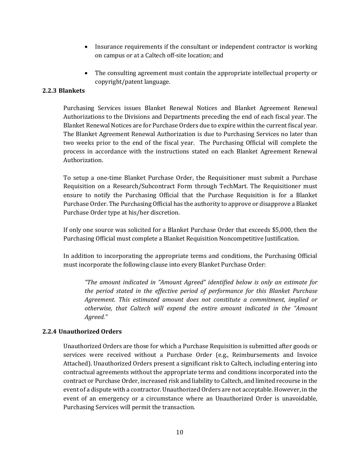- Insurance requirements if the consultant or independent contractor is working on campus or at a Caltech off-site location; and
- The consulting agreement must contain the appropriate intellectual property or copyright/patent language.

## **2.2.3 Blankets**

Purchasing Services issues Blanket Renewal Notices and Blanket Agreement Renewal Authorizations to the Divisions and Departments preceding the end of each fiscal year. The Blanket Renewal Notices are for Purchase Orders due to expire within the current fiscal year. The Blanket Agreement Renewal Authorization is due to Purchasing Services no later than two weeks prior to the end of the fiscal year. The Purchasing Official will complete the process in accordance with the instructions stated on each Blanket Agreement Renewal Authorization.

To setup a one-time Blanket Purchase Order, the Requisitioner must submit a Purchase Requisition on a Research/Subcontract Form through TechMart. The Requisitioner must ensure to notify the Purchasing Official that the Purchase Requisition is for a Blanket Purchase Order. The Purchasing Official has the authority to approve or disapprove a Blanket Purchase Order type at his/her discretion.

If only one source was solicited for a Blanket Purchase Order that exceeds \$5,000, then the Purchasing Official must complete a Blanket Requisition Noncompetitive Justification.

In addition to incorporating the appropriate terms and conditions, the Purchasing Official must incorporate the following clause into every Blanket Purchase Order:

*"The amount indicated in "Amount Agreed" identified below is only an estimate for the period stated in the effective period of performance for this Blanket Purchase Agreement. This estimated amount does not constitute a commitment, implied or otherwise, that Caltech will expend the entire amount indicated in the "Amount Agreed."*

## **2.2.4 Unauthorized Orders**

Unauthorized Orders are those for which a Purchase Requisition is submitted after goods or services were received without a Purchase Order (e.g., Reimbursements and Invoice Attached). Unauthorized Orders present a significant risk to Caltech, including entering into contractual agreements without the appropriate terms and conditions incorporated into the contract or Purchase Order, increased risk and liability to Caltech, and limited recourse in the event of a dispute with a contractor. Unauthorized Orders are not acceptable. However, in the event of an emergency or a circumstance where an Unauthorized Order is unavoidable, Purchasing Services will permit the transaction.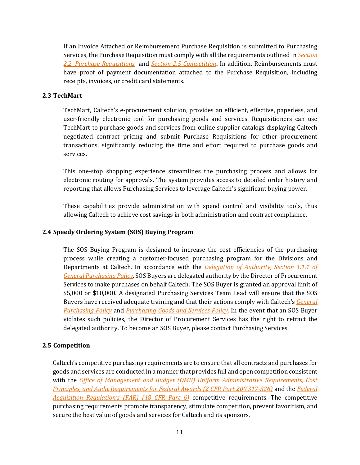If an Invoice Attached or Reimbursement Purchase Requisition is submitted to Purchasing Services, the Purchase Requisition must comply with all the requirements outlined in *[Section](#page-7-0)  2.2. [Purchase Requisitions](#page-7-0)* and *Section 2.5 [Competition](#page-10-0)***.** In addition, Reimbursements must have proof of payment documentation attached to the Purchase Requisition, including receipts, invoices, or credit card statements.

## **2.3 TechMart**

TechMart, Caltech's e-procurement solution, provides an efficient, effective, paperless, and user-friendly electronic tool for purchasing goods and services. Requisitioners can use TechMart to purchase goods and services from online supplier catalogs displaying Caltech negotiated contract pricing and submit Purchase Requisitions for other procurement transactions, significantly reducing the time and effort required to purchase goods and services.

This one-stop shopping experience streamlines the purchasing process and allows for electronic routing for approvals. The system provides access to detailed order history and reporting that allows Purchasing Services to leverage Caltech's significant buying power.

These capabilities provide administration with spend control and visibility tools, thus allowing Caltech to achieve cost savings in both administration and contract compliance.

## **2.4 Speedy Ordering System (SOS) Buying Program**

The SOS Buying Program is designed to increase the cost efficiencies of the purchasing process while creating a customer-focused purchasing program for the Divisions and Departments at Caltech. In accordance with the *[Delegation of Authority,](http://procurement.sites.caltech.edu/departments/purchasing/purchasing-policies-procedures) Section 1.1.1 of [General Purchasing Policy](http://procurement.sites.caltech.edu/departments/purchasing/purchasing-policies-procedures)*, SOS Buyers are delegated authority by the Director of Procurement Services to make purchases on behalf Caltech. The SOS Buyer is granted an approval limit of \$5,000 or \$10,000. A designated Purchasing Services Team Lead will ensure that the SOS Buyers have received adequate training and that their actions comply with Caltech's *[General](http://procurement.sites.caltech.edu/departments/purchasing/purchasing-policies-procedures)  [Purchasing Policy](http://procurement.sites.caltech.edu/departments/purchasing/purchasing-policies-procedures)* and *[Purchasing Goods and Services Policy](http://procurement.sites.caltech.edu/departments/purchasing/purchasing-policies-procedures)*. In the event that an SOS Buyer violates such policies, the Director of Procurement Services has the right to retract the delegated authority. To become an SOS Buyer, please contact Purchasing Services.

## <span id="page-10-0"></span>**2.5 Competition**

Caltech's competitive purchasing requirements are to ensure that all contracts and purchases for goods and services are conducted in a manner that provides full and open competition consistent with the *[Office of Management and Budget \(OMB\) Uniform Administrative Requirements, Cost](http://www.ecfr.gov/cgi-bin/text-idx?SID=1f34b6a1dfdd7328ded95167e4583ecb&mc=true&node=sg2.1.200_1316.sg3&rgn=div7)  [Principles, and Audit Requirements for Federal Awards \(2 CFR Part 200.317-326\)](http://www.ecfr.gov/cgi-bin/text-idx?SID=1f34b6a1dfdd7328ded95167e4583ecb&mc=true&node=sg2.1.200_1316.sg3&rgn=div7)* and the *[Federal](http://www.ecfr.gov/cgi-bin/text-idx?SID=8cf2f9ae1df5eba9282238ba6dd54977&mc=true&tpl=/ecfrbrowse/Title48/48cfr6_main_02.tpl)  [Acquisition Regulation's \(FAR\) \(48 CFR Part 6\)](http://www.ecfr.gov/cgi-bin/text-idx?SID=8cf2f9ae1df5eba9282238ba6dd54977&mc=true&tpl=/ecfrbrowse/Title48/48cfr6_main_02.tpl)* competitive requirements. The competitive purchasing requirements promote transparency, stimulate competition, prevent favoritism, and secure the best value of goods and services for Caltech and its sponsors.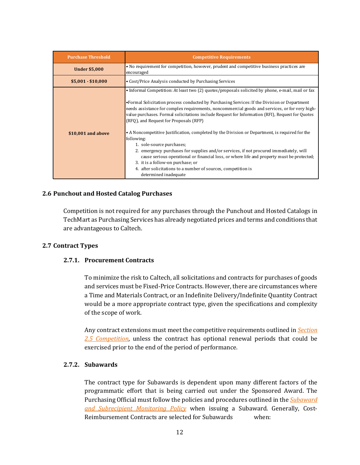| <b>Purchase Threshold</b> | <b>Competitive Requirements</b>                                                                                                                                                                                                                                                                                                                                                                                                                                                                                                                                                                                                                                                                                                                                                                                                                                                                                       |
|---------------------------|-----------------------------------------------------------------------------------------------------------------------------------------------------------------------------------------------------------------------------------------------------------------------------------------------------------------------------------------------------------------------------------------------------------------------------------------------------------------------------------------------------------------------------------------------------------------------------------------------------------------------------------------------------------------------------------------------------------------------------------------------------------------------------------------------------------------------------------------------------------------------------------------------------------------------|
| <b>Under \$5,000</b>      | • No requirement for competition, however, prudent and competitive business practices are<br>encouraged                                                                                                                                                                                                                                                                                                                                                                                                                                                                                                                                                                                                                                                                                                                                                                                                               |
| $$5,001 - $10,000$        | • Cost/Price Analysis conducted by Purchasing Services                                                                                                                                                                                                                                                                                                                                                                                                                                                                                                                                                                                                                                                                                                                                                                                                                                                                |
| \$10,001 and above        | • Informal Competition: At least two (2) quotes/proposals solicited by phone, e-mail, mail or fax<br>• Formal Solicitation process conducted by Purchasing Services: If the Division or Department<br>needs assistance for complex requirements, noncommercial goods and services, or for very high-<br>value purchases. Formal solicitations include Request for Information (RFI), Request for Quotes<br>(RFO), and Request for Proposals (RFP)<br>• A Noncompetitive Justification, completed by the Division or Department, is required for the<br>following:<br>1. sole-source purchases;<br>2. emergency purchases for supplies and/or services, if not procured immediately, will<br>cause serious operational or financial loss, or where life and property must be protected;<br>3. it is a follow-on purchase; or<br>4. after solicitations to a number of sources, competition is<br>determined inadequate |

#### **2.6 Punchout and Hosted Catalog Purchases**

Competition is not required for any purchases through the Punchout and Hosted Catalogs in TechMart as Purchasing Services has already negotiated prices and terms and conditions that are advantageous to Caltech.

#### **2.7 Contract Types**

#### **2.7.1. Procurement Contracts**

To minimize the risk to Caltech, all solicitations and contracts for purchases of goods and services must be Fixed-Price Contracts. However, there are circumstances where a Time and Materials Contract, or an Indefinite Delivery/Indefinite Quantity Contract would be a more appropriate contract type, given the specifications and complexity of the scope of work.

Any contract extensions must meet the competitive requirements outlined in *[Section](#page-10-0)  2.5 [Competition](#page-10-0)*, unless the contract has optional renewal periods that could be exercised prior to the end of the period of performance.

#### **2.7.2. Subawards**

The contract type for Subawards is dependent upon many different factors of the programmatic effort that is being carried out under the Sponsored Award. The Purchasing Official must follow the policies and procedures outlined in the *[Subaward](http://procurement.sites.caltech.edu/departments/purchasing/purchasing-policies-procedures)  [and Subrecipient Monitoring Policy](http://procurement.sites.caltech.edu/departments/purchasing/purchasing-policies-procedures)* when issuing a Subaward. Generally, Cost-Reimbursement Contracts are selected for Subawards when: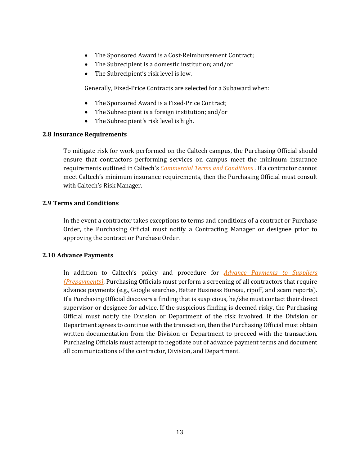- The Sponsored Award is a Cost-Reimbursement Contract;
- The Subrecipient is a domestic institution; and/or
- The Subrecipient's risk level is low.

Generally, Fixed-Price Contracts are selected for a Subaward when:

- The Sponsored Award is a Fixed-Price Contract;
- The Subrecipient is a foreign institution; and/or
- The Subrecipient's risk level is high.

#### **2.8 Insurance Requirements**

To mitigate risk for work performed on the Caltech campus, the Purchasing Official should ensure that contractors performing services on campus meet the minimum insurance requirements outlined in Caltech's *[Commercial Terms and Conditions](http://procurement.sites.caltech.edu/departments/purchasing/purchasing-policies-procedures)* . If a contractor cannot meet Caltech's minimum insurance requirements, then the Purchasing Official must consult with Caltech's Risk Manager.

## **2.9 Terms and Conditions**

In the event a contractor takes exceptions to terms and conditions of a contract or Purchase Order, the Purchasing Official must notify a Contracting Manager or designee prior to approving the contract or Purchase Order.

#### <span id="page-12-0"></span>**2.10 Advance Payments**

In addition to Caltech's policy and procedure for *[Advance Payments to Suppliers](http://procurement.sites.caltech.edu/departments/payment/payment-policies-procedures)  [\(Prepayments\)](http://procurement.sites.caltech.edu/departments/payment/payment-policies-procedures)*, Purchasing Officials must perform a screening of all contractors that require advance payments (e.g., Google searches, Better Business Bureau, ripoff, and scam reports). If a Purchasing Official discovers a finding that is suspicious, he/she must contact their direct supervisor or designee for advice. If the suspicious finding is deemed risky, the Purchasing Official must notify the Division or Department of the risk involved. If the Division or Department agrees to continue with the transaction, then the Purchasing Official must obtain written documentation from the Division or Department to proceed with the transaction. Purchasing Officials must attempt to negotiate out of advance payment terms and document all communications of the contractor, Division, and Department.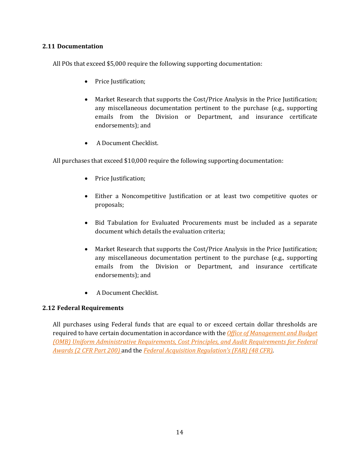## **2.11 Documentation**

All POs that exceed \$5,000 require the following supporting documentation:

- Price Justification;
- Market Research that supports the Cost/Price Analysis in the Price Justification; any miscellaneous documentation pertinent to the purchase (e.g., supporting emails from the Division or Department, and insurance certificate endorsements); and
- A Document Checklist.

All purchases that exceed \$10,000 require the following supporting documentation:

- Price Justification;
- Either a Noncompetitive Justification or at least two competitive quotes or proposals;
- Bid Tabulation for Evaluated Procurements must be included as a separate document which details the evaluation criteria;
- Market Research that supports the Cost/Price Analysis in the Price Justification; any miscellaneous documentation pertinent to the purchase (e.g., supporting emails from the Division or Department, and insurance certificate endorsements); and
- A Document Checklist.

## **2.12 Federal Requirements**

All purchases using Federal funds that are equal to or exceed certain dollar thresholds are required to have certain documentation in accordance with the *[Office of Management and Budget](http://www.ecfr.gov/cgi-bin/text-idx?tpl=/ecfrbrowse/Title02/2cfr200_main_02.tpl)  [\(OMB\) Uniform Administrative Requirements, Cost Principles, and Audit Requirements for Federal](http://www.ecfr.gov/cgi-bin/text-idx?tpl=/ecfrbrowse/Title02/2cfr200_main_02.tpl)  [Awards \(2 CFR Part 200\)](http://www.ecfr.gov/cgi-bin/text-idx?tpl=/ecfrbrowse/Title02/2cfr200_main_02.tpl)* and the *[Federal Acquisition Regulation's \(FAR\) \(48 CFR\)](http://www.ecfr.gov/cgi-bin/text-idx?tpl=/ecfrbrowse/Title48/48tab_02.tpl)*.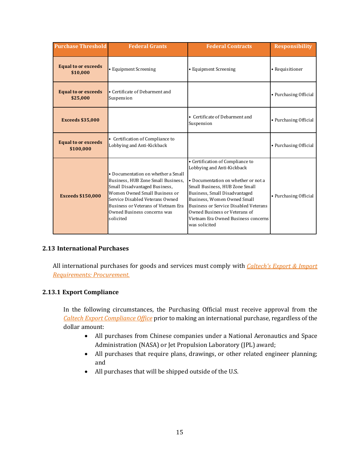| <b>Purchase Threshold</b>               | <b>Federal Grants</b>                                                                                                                                                                                                                                            | <b>Federal Contracts</b>                                                                                                                                                                                                                                                                                                                         | <b>Responsibility</b> |
|-----------------------------------------|------------------------------------------------------------------------------------------------------------------------------------------------------------------------------------------------------------------------------------------------------------------|--------------------------------------------------------------------------------------------------------------------------------------------------------------------------------------------------------------------------------------------------------------------------------------------------------------------------------------------------|-----------------------|
| <b>Equal to or exceeds</b><br>\$10,000  | • Equipment Screening                                                                                                                                                                                                                                            | • Equipment Screening                                                                                                                                                                                                                                                                                                                            | • Requisitioner       |
| <b>Equal to or exceeds</b><br>\$25,000  | • Certificate of Debarment and<br>Suspension                                                                                                                                                                                                                     |                                                                                                                                                                                                                                                                                                                                                  | • Purchasing Official |
| <b>Exceeds \$35,000</b>                 |                                                                                                                                                                                                                                                                  | • Certificate of Debarment and<br>Suspension                                                                                                                                                                                                                                                                                                     | • Purchasing Official |
| <b>Equal to or exceeds</b><br>\$100,000 | • Certification of Compliance to<br>Lobbying and Anti-Kickback                                                                                                                                                                                                   |                                                                                                                                                                                                                                                                                                                                                  | • Purchasing Official |
| <b>Exceeds \$150,000</b>                | • Documentation on whether a Small<br>Business, HUB Zone Small Business,<br>Small Disadvantaged Business,<br>Women Owned Small Business or<br>Service Disabled Veterans Owned<br>Business or Veterans of Vietnam Era<br>Owned Business concerns was<br>solicited | • Certification of Compliance to<br>Lobbying and Anti-Kickback<br>• Documentation on whether or not a<br>Small Business, HUB Zone Small<br>Business, Small Disadvantaged<br>Business, Women Owned Small<br><b>Business or Service Disabled Veterans</b><br>Owned Business or Veterans of<br>Vietnam Era Owned Business concerns<br>was solicited | • Purchasing Official |

## **2.13 International Purchases**

All international purchases for goods and services must comply with *[Caltech's Export & Import](https://researchadministration.caltech.edu/documents/626-procurement-_export_requirements_final_09292015.pdf)  [Requirements: Procurement.](https://researchadministration.caltech.edu/documents/626-procurement-_export_requirements_final_09292015.pdf)* 

## **2.13.1 Export Compliance**

In the following circumstances, the Purchasing Official must receive approval from the *[Caltech Export Compliance Office](https://researchadministration.caltech.edu/export)* prior to making an international purchase, regardless of the dollar amount:

- All purchases from Chinese companies under a National Aeronautics and Space Administration (NASA) or Jet Propulsion Laboratory (JPL) award;
- All purchases that require plans, drawings, or other related engineer planning; and
- All purchases that will be shipped outside of the U.S.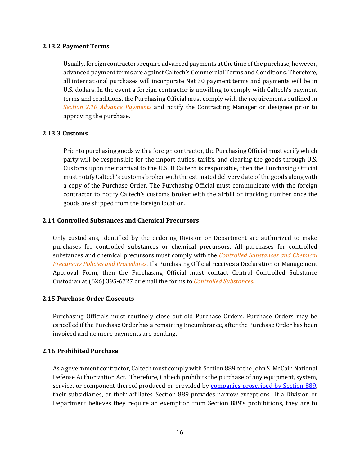## **2.13.2 Payment Terms**

Usually, foreign contractors require advanced payments at the time of the purchase, however, advanced payment terms are against Caltech's Commercial Terms and Conditions. Therefore, all international purchases will incorporate Net 30 payment terms and payments will be in U.S. dollars. In the event a foreign contractor is unwilling to comply with Caltech's payment terms and conditions, the Purchasing Official must comply with the requirements outlined in *[Section 2.10 Advance Payments](#page-12-0)* and notify the Contracting Manager or designee prior to approving the purchase.

## **2.13.3 Customs**

Prior to purchasing goods with a foreign contractor, the Purchasing Official must verify which party will be responsible for the import duties, tariffs, and clearing the goods through U.S. Customs upon their arrival to the U.S. If Caltech is responsible, then the Purchasing Official must notify Caltech's customs broker with the estimated delivery date of the goods along with a copy of the Purchase Order. The Purchasing Official must communicate with the foreign contractor to notify Caltech's customs broker with the airbill or tracking number once the goods are shipped from the foreign location.

## **2.14 Controlled Substances and Chemical Precursors**

Only custodians, identified by the ordering Division or Department are authorized to make purchases for controlled substances or chemical precursors. All purchases for controlled substances and chemical precursors must comply with the *[Controlled Substances and Chemical](https://safety.caltech.edu/documents/384-chemical_precursors_policy.pdf)  [Precursors Policies and Procedures](https://safety.caltech.edu/documents/384-chemical_precursors_policy.pdf)*. If a Purchasing Official receives a Declaration or Management Approval Form, then the Purchasing Official must contact Central Controlled Substance Custodian at (626) 395-6727 or email the forms to *[Controlled Substances](mailto:controlledsub@caltech.edu)*.

## **2.15 Purchase Order Closeouts**

Purchasing Officials must routinely close out old Purchase Orders. Purchase Orders may be cancelled if the Purchase Order has a remaining Encumbrance, after the Purchase Order has been invoiced and no more payments are pending.

## **2.16 Prohibited Purchase**

As a government contractor, Caltech must comply with [Section 889 of the John S. McCain National](https://researchcompliance.caltech.edu/compliance/export/national-defense-authorization-act-ndaa-section-889)  [Defense Authorization Act.](https://researchcompliance.caltech.edu/compliance/export/national-defense-authorization-act-ndaa-section-889) Therefore, Caltech prohibits the purchase of any equipment, system, service, or component thereof produced or provided by **companies proscribed by Section 889**, their subsidiaries, or their affiliates. Section 889 provides narrow exceptions. If a Division or Department believes they require an exemption from Section 889's prohibitions, they are to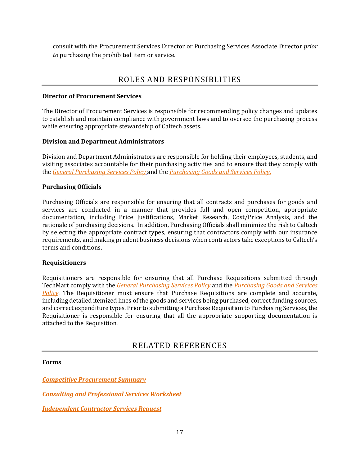consult with the Procurement Services Director or Purchasing Services Associate Director *prior to* purchasing the prohibited item or service.

## ROLES AND RESPONSIBLITIES

#### **Director of Procurement Services**

The Director of Procurement Services is responsible for recommending policy changes and updates to establish and maintain compliance with government laws and to oversee the purchasing process while ensuring appropriate stewardship of Caltech assets.

## **Division and Department Administrators**

Division and Department Administrators are responsible for holding their employees, students, and visiting associates accountable for their purchasing activities and to ensure that they comply with the *[General Purchasing Services Policy](http://procurement.sites.caltech.edu/departments/purchasing/purchasing-policies-procedures)* and the *[Purchasing Goods and Services Policy](http://procurement.sites.caltech.edu/departments/purchasing/purchasing-policies-procedures_services_policy.pdf)*.

## **Purchasing Officials**

Purchasing Officials are responsible for ensuring that all contracts and purchases for goods and services are conducted in a manner that provides full and open competition, appropriate documentation, including Price Justifications, Market Research, Cost/Price Analysis, and the rationale of purchasing decisions. In addition, Purchasing Officials shall minimize the risk to Caltech by selecting the appropriate contract types, ensuring that contractors comply with our insurance requirements, and making prudent business decisions when contractors take exceptions to Caltech's terms and conditions.

#### **Requisitioners**

Requisitioners are responsible for ensuring that all Purchase Requisitions submitted through TechMart comply with the *[General Purchasing Services Policy](http://procurement.sites.caltech.edu/departments/purchasing/purchasing-policies-procedures)* and the *[Purchasing Goods and Services](http://procurement.sites.caltech.edu/departments/purchasing/purchasing-policies-procedures)  [Policy](http://procurement.sites.caltech.edu/departments/purchasing/purchasing-policies-procedures)*. The Requisitioner must ensure that Purchase Requisitions are complete and accurate, including detailed itemized lines of the goods and services being purchased, correct funding sources, and correct expenditure types. Prior to submitting a Purchase Requisition to Purchasing Services, the Requisitioner is responsible for ensuring that all the appropriate supporting documentation is attached to the Requisition.

## RELATED REFERENCES

#### **Forms**

*[Competitive Procurement Summary](http://procurement.sites.caltech.edu/departments/purchasing/purchasing-forms)*

*[Consulting and Professional Services Worksheet](http://procurement.sites.caltech.edu/departments/purchasing/purchasing-forms)*

*[Independent Contractor Services Request](http://procurement.sites.caltech.edu/departments/purchasing/purchasing-forms)*